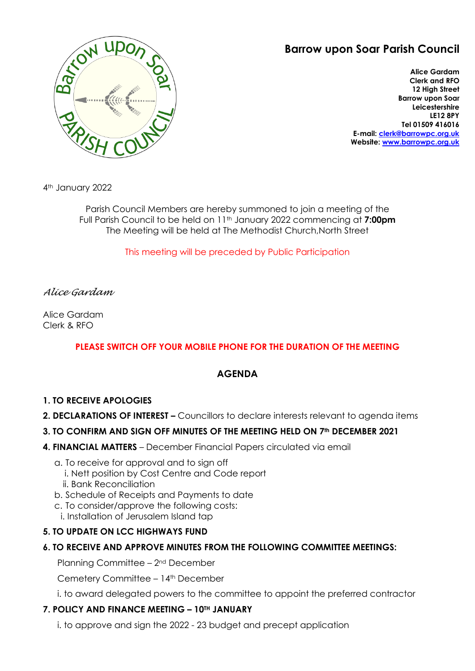# **Barrow upon Soar Parish Council**



**Alice Gardam Clerk and RFO 12 High Street Barrow upon Soar Leicestershire LE12 8PY Tel 01509 416016 E-mail: [clerk@barrowpc.org.uk](mailto:clerk@barrowpc.org.uk) Website: [www.barrowpc.org.uk](http://www.barrowpc.org.uk/)**

4th January 2022

Parish Council Members are hereby summoned to join a meeting of the Full Parish Council to be held on 11th January 2022 commencing at **7:00pm** The Meeting will be held at The Methodist Church,North Street

This meeting will be preceded by Public Participation

## *Alice Gardam*

Alice Gardam Clerk & RFO

# **PLEASE SWITCH OFF YOUR MOBILE PHONE FOR THE DURATION OF THE MEETING**

# **AGENDA**

## **1. TO RECEIVE APOLOGIES**

**2. DECLARATIONS OF INTEREST –** Councillors to declare interests relevant to agenda items

## **3. TO CONFIRM AND SIGN OFF MINUTES OF THE MEETING HELD ON 7th DECEMBER 2021**

- **4. FINANCIAL MATTERS** December Financial Papers circulated via email
	- a. To receive for approval and to sign off
		- i. Nett position by Cost Centre and Code report
		- ii. Bank Reconciliation
	- b. Schedule of Receipts and Payments to date
	- c. To consider/approve the following costs:
	- i. Installation of Jerusalem Island tap

# **5. TO UPDATE ON LCC HIGHWAYS FUND**

## **6. TO RECEIVE AND APPROVE MINUTES FROM THE FOLLOWING COMMITTEE MEETINGS:**

Planning Committee – 2nd December

Cemetery Committee - 14<sup>th</sup> December

i. to award delegated powers to the committee to appoint the preferred contractor

## **7. POLICY AND FINANCE MEETING – 10TH JANUARY**

i. to approve and sign the 2022 - 23 budget and precept application